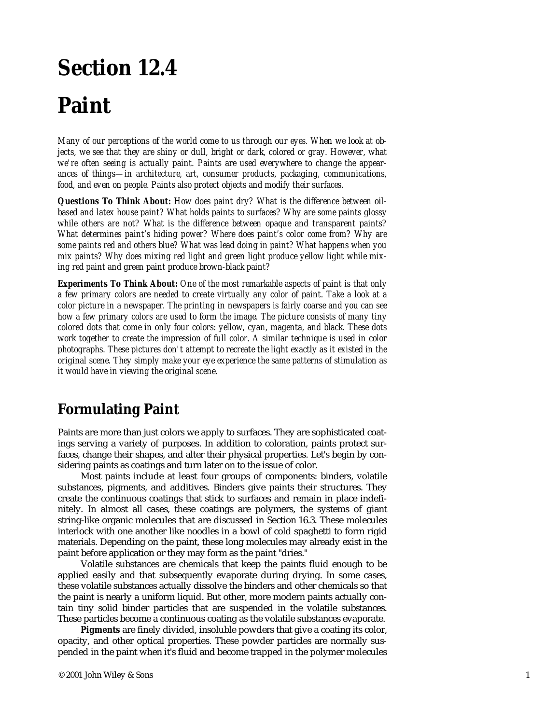# **Section 12.4**

# **Paint**

*Many of our perceptions of the world come to us through our eyes. When we look at objects, we see that they are shiny or dull, bright or dark, colored or gray. However, what we're often seeing is actually paint. Paints are used everywhere to change the appearances of things—in architecture, art, consumer products, packaging, communications, food, and even on people. Paints also protect objects and modify their surfaces.* 

*Questions To Think About: How does paint dry? What is the difference between oilbased and latex house paint? What holds paints to surfaces? Why are some paints glossy while others are not? What is the difference between opaque and transparent paints? What determines paint's hiding power? Where does paint's color come from? Why are some paints red and others blue? What was lead doing in paint? What happens when you mix paints? Why does mixing red light and green light produce yellow light while mixing red paint and green paint produce brown-black paint?* 

*Experiments To Think About: One of the most remarkable aspects of paint is that only a few primary colors are needed to create virtually any color of paint. Take a look at a color picture in a newspaper. The printing in newspapers is fairly coarse and you can see how a few primary colors are used to form the image. The picture consists of many tiny colored dots that come in only four colors: yellow, cyan, magenta, and black. These dots work together to create the impression of full color. A similar technique is used in color photographs. These pictures don't attempt to recreate the light exactly as it existed in the original scene. They simply make your eye experience the same patterns of stimulation as it would have in viewing the original scene.* 

# **Formulating Paint**

Paints are more than just colors we apply to surfaces. They are sophisticated coatings serving a variety of purposes. In addition to coloration, paints protect surfaces, change their shapes, and alter their physical properties. Let's begin by considering paints as coatings and turn later on to the issue of color.

Most paints include at least four groups of components: binders, volatile substances, pigments, and additives. Binders give paints their structures. They create the continuous coatings that stick to surfaces and remain in place indefinitely. In almost all cases, these coatings are polymers, the systems of giant string-like organic molecules that are discussed in Section 16.3. These molecules interlock with one another like noodles in a bowl of cold spaghetti to form rigid materials. Depending on the paint, these long molecules may already exist in the paint before application or they may form as the paint "dries."

Volatile substances are chemicals that keep the paints fluid enough to be applied easily and that subsequently evaporate during drying. In some cases, these volatile substances actually dissolve the binders and other chemicals so that the paint is nearly a uniform liquid. But other, more modern paints actually contain tiny solid binder particles that are suspended in the volatile substances. These particles become a continuous coating as the volatile substances evaporate.

**Pigments** are finely divided, insoluble powders that give a coating its color, opacity, and other optical properties. These powder particles are normally suspended in the paint when it's fluid and become trapped in the polymer molecules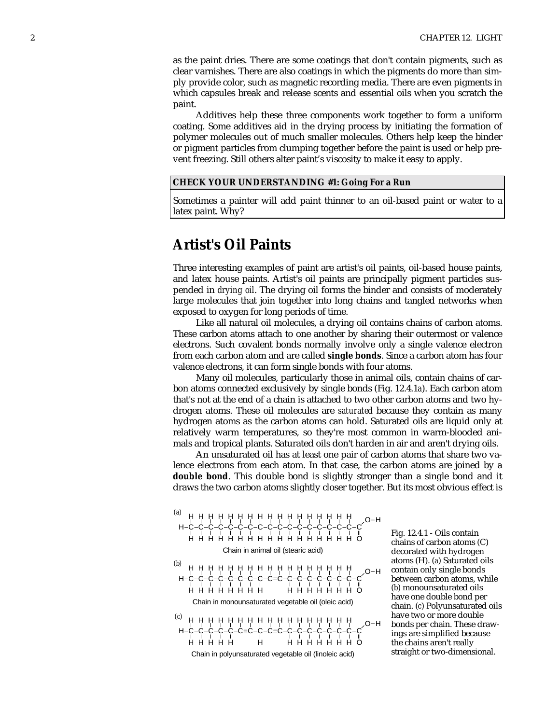as the paint dries. There are some coatings that don't contain pigments, such as clear varnishes. There are also coatings in which the pigments do more than simply provide color, such as magnetic recording media. There are even pigments in which capsules break and release scents and essential oils when you scratch the paint.

Additives help these three components work together to form a uniform coating. Some additives aid in the drying process by initiating the formation of polymer molecules out of much smaller molecules. Others help keep the binder or pigment particles from clumping together before the paint is used or help prevent freezing. Still others alter paint's viscosity to make it easy to apply.

### **CHECK YOUR UNDERSTANDING #1: Going For a Run**

Sometimes a painter will add paint thinner to an oil-based paint or water to a latex paint. Why?

## **Artist's Oil Paints**

Three interesting examples of paint are artist's oil paints, oil-based house paints, and latex house paints. Artist's oil paints are principally pigment particles suspended in *drying oil*. The drying oil forms the binder and consists of moderately large molecules that join together into long chains and tangled networks when exposed to oxygen for long periods of time.

Like all natural oil molecules, a drying oil contains chains of carbon atoms. These carbon atoms attach to one another by sharing their outermost or valence electrons. Such covalent bonds normally involve only a single valence electron from each carbon atom and are called **single bonds**. Since a carbon atom has four valence electrons, it can form single bonds with four atoms.

Many oil molecules, particularly those in animal oils, contain chains of carbon atoms connected exclusively by single bonds (Fig. 12.4.1*a*). Each carbon atom that's not at the end of a chain is attached to two other carbon atoms and two hydrogen atoms. These oil molecules are *saturated* because they contain as many hydrogen atoms as the carbon atoms can hold. Saturated oils are liquid only at relatively warm temperatures, so they're most common in warm-blooded animals and tropical plants. Saturated oils don't harden in air and aren't drying oils.

An unsaturated oil has at least one pair of carbon atoms that share two valence electrons from each atom. In that case, the carbon atoms are joined by a **double bond**. This double bond is slightly stronger than a single bond and it draws the two carbon atoms slightly closer together. But its most obvious effect is



Chain in polyunsaturated vegetable oil (linoleic acid)

Fig. 12.4.1 - Oils contain chains of carbon atoms (C) decorated with hydrogen atoms (H). (*a*) Saturated oils contain only single bonds between carbon atoms, while (*b*) monounsaturated oils have one double bond per chain. (*c*) Polyunsaturated oils have two or more double bonds per chain. These drawings are simplified because the chains aren't really straight or two-dimensional.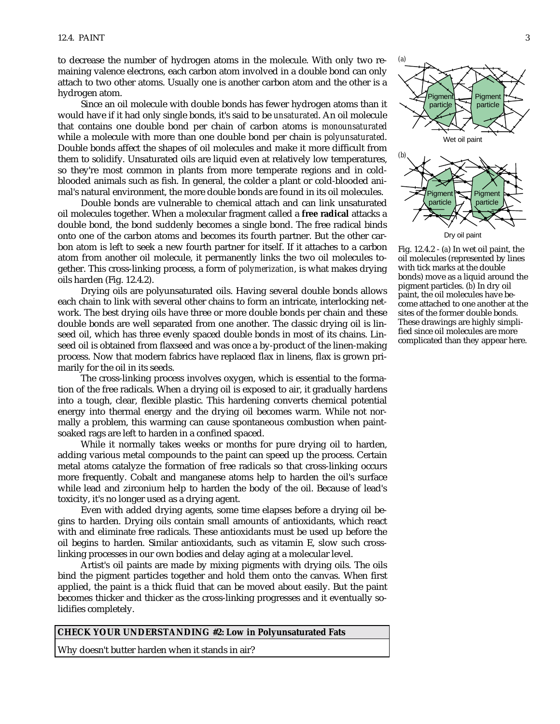to decrease the number of hydrogen atoms in the molecule. With only two remaining valence electrons, each carbon atom involved in a double bond can only attach to two other atoms. Usually one is another carbon atom and the other is a hydrogen atom.

Since an oil molecule with double bonds has fewer hydrogen atoms than it would have if it had only single bonds, it's said to be *unsaturated*. An oil molecule that contains one double bond per chain of carbon atoms is *monounsaturated* while a molecule with more than one double bond per chain is *polyunsaturated*. Double bonds affect the shapes of oil molecules and make it more difficult from them to solidify. Unsaturated oils are liquid even at relatively low temperatures, so they're most common in plants from more temperate regions and in coldblooded animals such as fish. In general, the colder a plant or cold-blooded animal's natural environment, the more double bonds are found in its oil molecules.

Double bonds are vulnerable to chemical attach and can link unsaturated oil molecules together. When a molecular fragment called a **free radical** attacks a double bond, the bond suddenly becomes a single bond. The free radical binds onto one of the carbon atoms and becomes its fourth partner. But the other carbon atom is left to seek a new fourth partner for itself. If it attaches to a carbon atom from another oil molecule, it permanently links the two oil molecules together. This cross-linking process, a form of *polymerization*, is what makes drying oils harden (Fig. 12.4.2).

Drying oils are polyunsaturated oils. Having several double bonds allows each chain to link with several other chains to form an intricate, interlocking network. The best drying oils have three or more double bonds per chain and these double bonds are well separated from one another. The classic drying oil is linseed oil, which has three evenly spaced double bonds in most of its chains. Linseed oil is obtained from flaxseed and was once a by-product of the linen-making process. Now that modern fabrics have replaced flax in linens, flax is grown primarily for the oil in its seeds.

The cross-linking process involves oxygen, which is essential to the formation of the free radicals. When a drying oil is exposed to air, it gradually hardens into a tough, clear, flexible plastic. This hardening converts chemical potential energy into thermal energy and the drying oil becomes warm. While not normally a problem, this warming can cause spontaneous combustion when paintsoaked rags are left to harden in a confined spaced.

While it normally takes weeks or months for pure drying oil to harden, adding various metal compounds to the paint can speed up the process. Certain metal atoms catalyze the formation of free radicals so that cross-linking occurs more frequently. Cobalt and manganese atoms help to harden the oil's surface while lead and zirconium help to harden the body of the oil. Because of lead's toxicity, it's no longer used as a drying agent.

Even with added drying agents, some time elapses before a drying oil begins to harden. Drying oils contain small amounts of antioxidants, which react with and eliminate free radicals. These antioxidants must be used up before the oil begins to harden. Similar antioxidants, such as vitamin E, slow such crosslinking processes in our own bodies and delay aging at a molecular level.

Artist's oil paints are made by mixing pigments with drying oils. The oils bind the pigment particles together and hold them onto the canvas. When first applied, the paint is a thick fluid that can be moved about easily. But the paint becomes thicker and thicker as the cross-linking progresses and it eventually solidifies completely.

#### **CHECK YOUR UNDERSTANDING #2: Low in Polyunsaturated Fats**

Why doesn't butter harden when it stands in air?



Fig. 12.4.2 - (*a*) In wet oil paint, the oil molecules (represented by lines with tick marks at the double bonds) move as a liquid around the pigment particles. (*b*) In dry oil paint, the oil molecules have become attached to one another at the sites of the former double bonds. These drawings are highly simplified since oil molecules are more complicated than they appear here.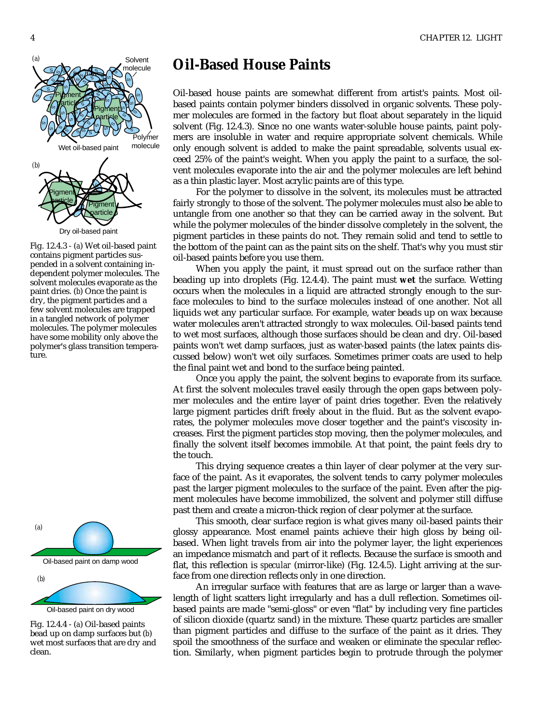

Fig. 12.4.3 - (*a*) Wet oil-based paint contains pigment particles suspended in a solvent containing independent polymer molecules. The solvent molecules evaporate as the paint dries. (*b*) Once the paint is dry, the pigment particles and a few solvent molecules are trapped in a tangled network of polymer molecules. The polymer molecules have some mobility only above the polymer's glass transition temperature.



Fig. 12.4.4 - (*a*) Oil-based paints bead up on damp surfaces but (*b*) wet most surfaces that are dry and clean.

# **Oil-Based House Paints**

Oil-based house paints are somewhat different from artist's paints. Most oilbased paints contain polymer binders dissolved in organic solvents. These polymer molecules are formed in the factory but float about separately in the liquid solvent (Fig. 12.4.3). Since no one wants water-soluble house paints, paint polymers are insoluble in water and require appropriate solvent chemicals. While only enough solvent is added to make the paint spreadable, solvents usual exceed 25% of the paint's weight. When you apply the paint to a surface, the solvent molecules evaporate into the air and the polymer molecules are left behind as a thin plastic layer. Most acrylic paints are of this type.

For the polymer to dissolve in the solvent, its molecules must be attracted fairly strongly to those of the solvent. The polymer molecules must also be able to untangle from one another so that they can be carried away in the solvent. But while the polymer molecules of the binder dissolve completely in the solvent, the pigment particles in these paints do not. They remain solid and tend to settle to the bottom of the paint can as the paint sits on the shelf. That's why you must stir oil-based paints before you use them.

When you apply the paint, it must spread out on the surface rather than beading up into droplets (Fig. 12.4.4). The paint must **wet** the surface. Wetting occurs when the molecules in a liquid are attracted strongly enough to the surface molecules to bind to the surface molecules instead of one another. Not all liquids wet any particular surface. For example, water beads up on wax because water molecules aren't attracted strongly to wax molecules. Oil-based paints tend to wet most surfaces, although those surfaces should be clean and dry. Oil-based paints won't wet damp surfaces, just as water-based paints (the latex paints discussed below) won't wet oily surfaces. Sometimes primer coats are used to help the final paint wet and bond to the surface being painted.

Once you apply the paint, the solvent begins to evaporate from its surface. At first the solvent molecules travel easily through the open gaps between polymer molecules and the entire layer of paint dries together. Even the relatively large pigment particles drift freely about in the fluid. But as the solvent evaporates, the polymer molecules move closer together and the paint's viscosity increases. First the pigment particles stop moving, then the polymer molecules, and finally the solvent itself becomes immobile. At that point, the paint feels dry to the touch.

This drying sequence creates a thin layer of clear polymer at the very surface of the paint. As it evaporates, the solvent tends to carry polymer molecules past the larger pigment molecules to the surface of the paint. Even after the pigment molecules have become immobilized, the solvent and polymer still diffuse past them and create a micron-thick region of clear polymer at the surface.

This smooth, clear surface region is what gives many oil-based paints their glossy appearance. Most enamel paints achieve their high gloss by being oilbased. When light travels from air into the polymer layer, the light experiences an impedance mismatch and part of it reflects. Because the surface is smooth and flat, this reflection is *specular* (mirror-like) (Fig. 12.4.5). Light arriving at the surface from one direction reflects only in one direction.

An irregular surface with features that are as large or larger than a wavelength of light scatters light irregularly and has a dull reflection. Sometimes oilbased paints are made "semi-gloss" or even "flat" by including very fine particles of silicon dioxide (quartz sand) in the mixture. These quartz particles are smaller than pigment particles and diffuse to the surface of the paint as it dries. They spoil the smoothness of the surface and weaken or eliminate the specular reflection. Similarly, when pigment particles begin to protrude through the polymer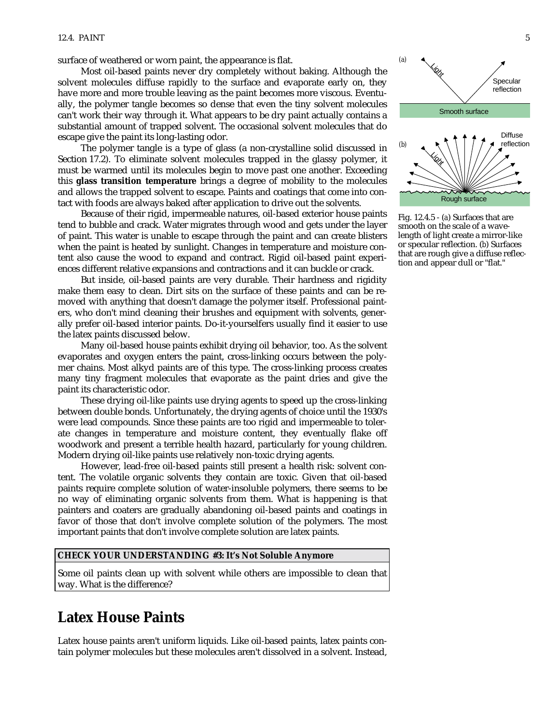surface of weathered or worn paint, the appearance is flat.

Most oil-based paints never dry completely without baking. Although the solvent molecules diffuse rapidly to the surface and evaporate early on, they have more and more trouble leaving as the paint becomes more viscous. Eventually, the polymer tangle becomes so dense that even the tiny solvent molecules can't work their way through it. What appears to be dry paint actually contains a substantial amount of trapped solvent. The occasional solvent molecules that do escape give the paint its long-lasting odor.

The polymer tangle is a type of glass (a non-crystalline solid discussed in Section 17.2). To eliminate solvent molecules trapped in the glassy polymer, it must be warmed until its molecules begin to move past one another. Exceeding this **glass transition temperature** brings a degree of mobility to the molecules and allows the trapped solvent to escape. Paints and coatings that come into contact with foods are always baked after application to drive out the solvents.

Because of their rigid, impermeable natures, oil-based exterior house paints tend to bubble and crack. Water migrates through wood and gets under the layer of paint. This water is unable to escape through the paint and can create blisters when the paint is heated by sunlight. Changes in temperature and moisture content also cause the wood to expand and contract. Rigid oil-based paint experiences different relative expansions and contractions and it can buckle or crack.

But inside, oil-based paints are very durable. Their hardness and rigidity make them easy to clean. Dirt sits on the surface of these paints and can be removed with anything that doesn't damage the polymer itself. Professional painters, who don't mind cleaning their brushes and equipment with solvents, generally prefer oil-based interior paints. Do-it-yourselfers usually find it easier to use the latex paints discussed below.

Many oil-based house paints exhibit drying oil behavior, too. As the solvent evaporates and oxygen enters the paint, cross-linking occurs between the polymer chains. Most alkyd paints are of this type. The cross-linking process creates many tiny fragment molecules that evaporate as the paint dries and give the paint its characteristic odor.

These drying oil-like paints use drying agents to speed up the cross-linking between double bonds. Unfortunately, the drying agents of choice until the 1930's were lead compounds. Since these paints are too rigid and impermeable to tolerate changes in temperature and moisture content, they eventually flake off woodwork and present a terrible health hazard, particularly for young children. Modern drying oil-like paints use relatively non-toxic drying agents.

However, lead-free oil-based paints still present a health risk: solvent content. The volatile organic solvents they contain are toxic. Given that oil-based paints require complete solution of water-insoluble polymers, there seems to be no way of eliminating organic solvents from them. What is happening is that painters and coaters are gradually abandoning oil-based paints and coatings in favor of those that don't involve complete solution of the polymers. The most important paints that don't involve complete solution are latex paints.

#### **CHECK YOUR UNDERSTANDING #3: It's Not Soluble Anymore**

Some oil paints clean up with solvent while others are impossible to clean that way. What is the difference?

### **Latex House Paints**

Latex house paints aren't uniform liquids. Like oil-based paints, latex paints contain polymer molecules but these molecules aren't dissolved in a solvent. Instead,



Fig. 12.4.5 - (*a*) Surfaces that are smooth on the scale of a wavelength of light create a mirror-like or specular reflection. (*b*) Surfaces that are rough give a diffuse reflection and appear dull or "flat."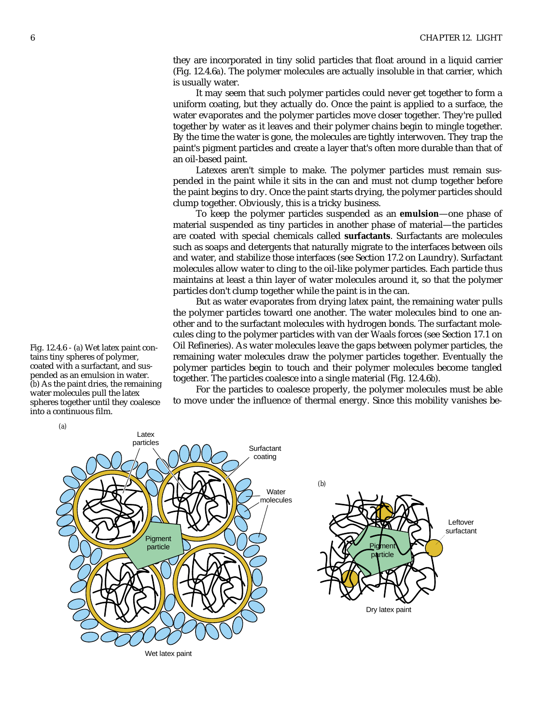they are incorporated in tiny solid particles that float around in a liquid carrier (Fig. 12.4.6*a*). The polymer molecules are actually insoluble in that carrier, which is usually water.

It may seem that such polymer particles could never get together to form a uniform coating, but they actually do. Once the paint is applied to a surface, the water evaporates and the polymer particles move closer together. They're pulled together by water as it leaves and their polymer chains begin to mingle together. By the time the water is gone, the molecules are tightly interwoven. They trap the paint's pigment particles and create a layer that's often more durable than that of an oil-based paint.

Latexes aren't simple to make. The polymer particles must remain suspended in the paint while it sits in the can and must not clump together before the paint begins to dry. Once the paint starts drying, the polymer particles should clump together. Obviously, this is a tricky business.

To keep the polymer particles suspended as an **emulsion**—one phase of material suspended as tiny particles in another phase of material—the particles are coated with special chemicals called **surfactants**. Surfactants are molecules such as soaps and detergents that naturally migrate to the interfaces between oils and water, and stabilize those interfaces (see Section 17.2 on Laundry). Surfactant molecules allow water to cling to the oil-like polymer particles. Each particle thus maintains at least a thin layer of water molecules around it, so that the polymer particles don't clump together while the paint is in the can.

But as water evaporates from drying latex paint, the remaining water pulls the polymer particles toward one another. The water molecules bind to one another and to the surfactant molecules with hydrogen bonds. The surfactant molecules cling to the polymer particles with van der Waals forces (see Section 17.1 on Oil Refineries). As water molecules leave the gaps between polymer particles, the remaining water molecules draw the polymer particles together. Eventually the polymer particles begin to touch and their polymer molecules become tangled together. The particles coalesce into a single material (Fig. 12.4.6*b*).

For the particles to coalesce properly, the polymer molecules must be able to move under the influence of thermal energy. Since this mobility vanishes be-



Fig. 12.4.6 - (*a*) Wet latex paint contains tiny spheres of polymer, coated with a surfactant, and suspended as an emulsion in water. (*b*) As the paint dries, the remaining water molecules pull the latex spheres together until they coalesce into a continuous film.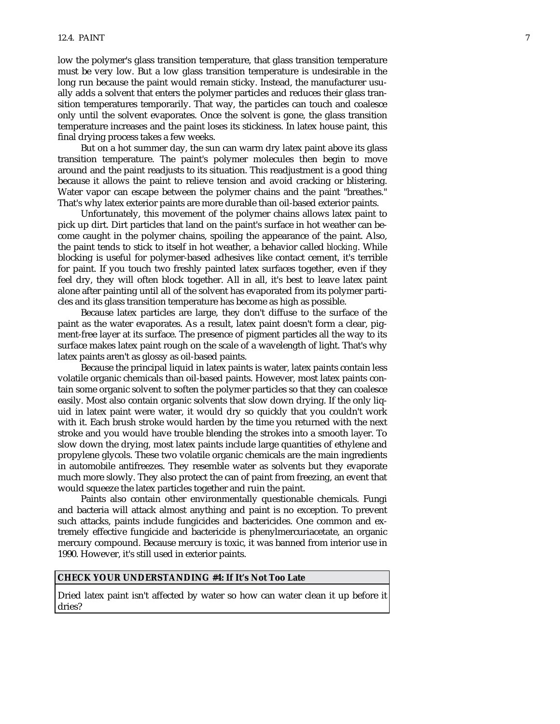low the polymer's glass transition temperature, that glass transition temperature must be very low. But a low glass transition temperature is undesirable in the long run because the paint would remain sticky. Instead, the manufacturer usually adds a solvent that enters the polymer particles and reduces their glass transition temperatures temporarily. That way, the particles can touch and coalesce only until the solvent evaporates. Once the solvent is gone, the glass transition temperature increases and the paint loses its stickiness. In latex house paint, this final drying process takes a few weeks.

But on a hot summer day, the sun can warm dry latex paint above its glass transition temperature. The paint's polymer molecules then begin to move around and the paint readjusts to its situation. This readjustment is a good thing because it allows the paint to relieve tension and avoid cracking or blistering. Water vapor can escape between the polymer chains and the paint "breathes." That's why latex exterior paints are more durable than oil-based exterior paints.

Unfortunately, this movement of the polymer chains allows latex paint to pick up dirt. Dirt particles that land on the paint's surface in hot weather can become caught in the polymer chains, spoiling the appearance of the paint. Also, the paint tends to stick to itself in hot weather, a behavior called *blocking*. While blocking is useful for polymer-based adhesives like contact cement, it's terrible for paint. If you touch two freshly painted latex surfaces together, even if they feel dry, they will often block together. All in all, it's best to leave latex paint alone after painting until all of the solvent has evaporated from its polymer particles and its glass transition temperature has become as high as possible.

Because latex particles are large, they don't diffuse to the surface of the paint as the water evaporates. As a result, latex paint doesn't form a clear, pigment-free layer at its surface. The presence of pigment particles all the way to its surface makes latex paint rough on the scale of a wavelength of light. That's why latex paints aren't as glossy as oil-based paints.

Because the principal liquid in latex paints is water, latex paints contain less volatile organic chemicals than oil-based paints. However, most latex paints contain some organic solvent to soften the polymer particles so that they can coalesce easily. Most also contain organic solvents that slow down drying. If the only liquid in latex paint were water, it would dry so quickly that you couldn't work with it. Each brush stroke would harden by the time you returned with the next stroke and you would have trouble blending the strokes into a smooth layer. To slow down the drying, most latex paints include large quantities of ethylene and propylene glycols. These two volatile organic chemicals are the main ingredients in automobile antifreezes. They resemble water as solvents but they evaporate much more slowly. They also protect the can of paint from freezing, an event that would squeeze the latex particles together and ruin the paint.

Paints also contain other environmentally questionable chemicals. Fungi and bacteria will attack almost anything and paint is no exception. To prevent such attacks, paints include fungicides and bactericides. One common and extremely effective fungicide and bactericide is phenylmercuriacetate, an organic mercury compound. Because mercury is toxic, it was banned from interior use in 1990. However, it's still used in exterior paints.

#### **CHECK YOUR UNDERSTANDING #4: If It 's Not Too Late**

Dried latex paint isn't affected by water so how can water clean it up before it dries?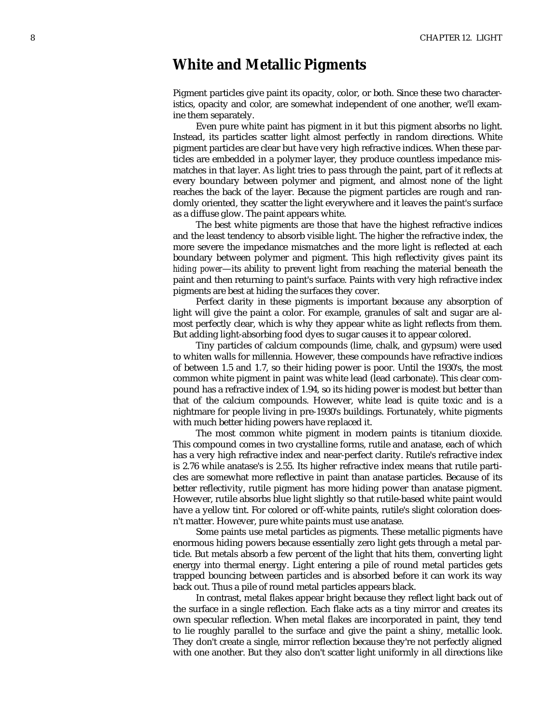## **White and Metallic Pigments**

Pigment particles give paint its opacity, color, or both. Since these two characteristics, opacity and color, are somewhat independent of one another, we'll examine them separately.

Even pure white paint has pigment in it but this pigment absorbs no light. Instead, its particles scatter light almost perfectly in random directions. White pigment particles are clear but have very high refractive indices. When these particles are embedded in a polymer layer, they produce countless impedance mismatches in that layer. As light tries to pass through the paint, part of it reflects at every boundary between polymer and pigment, and almost none of the light reaches the back of the layer. Because the pigment particles are rough and randomly oriented, they scatter the light everywhere and it leaves the paint's surface as a diffuse glow. The paint appears white.

The best white pigments are those that have the highest refractive indices and the least tendency to absorb visible light. The higher the refractive index, the more severe the impedance mismatches and the more light is reflected at each boundary between polymer and pigment. This high reflectivity gives paint its *hiding power*—its ability to prevent light from reaching the material beneath the paint and then returning to paint's surface. Paints with very high refractive index pigments are best at hiding the surfaces they cover.

Perfect clarity in these pigments is important because any absorption of light will give the paint a color. For example, granules of salt and sugar are almost perfectly clear, which is why they appear white as light reflects from them. But adding light-absorbing food dyes to sugar causes it to appear colored.

Tiny particles of calcium compounds (lime, chalk, and gypsum) were used to whiten walls for millennia. However, these compounds have refractive indices of between 1.5 and 1.7, so their hiding power is poor. Until the 1930's, the most common white pigment in paint was white lead (lead carbonate). This clear compound has a refractive index of 1.94, so its hiding power is modest but better than that of the calcium compounds. However, white lead is quite toxic and is a nightmare for people living in pre-1930's buildings. Fortunately, white pigments with much better hiding powers have replaced it.

The most common white pigment in modern paints is titanium dioxide. This compound comes in two crystalline forms, rutile and anatase, each of which has a very high refractive index and near-perfect clarity. Rutile's refractive index is 2.76 while anatase's is 2.55. Its higher refractive index means that rutile particles are somewhat more reflective in paint than anatase particles. Because of its better reflectivity, rutile pigment has more hiding power than anatase pigment. However, rutile absorbs blue light slightly so that rutile-based white paint would have a yellow tint. For colored or off-white paints, rutile's slight coloration doesn't matter. However, pure white paints must use anatase.

Some paints use metal particles as pigments. These metallic pigments have enormous hiding powers because essentially zero light gets through a metal particle. But metals absorb a few percent of the light that hits them, converting light energy into thermal energy. Light entering a pile of round metal particles gets trapped bouncing between particles and is absorbed before it can work its way back out. Thus a pile of round metal particles appears black.

In contrast, metal flakes appear bright because they reflect light back out of the surface in a single reflection. Each flake acts as a tiny mirror and creates its own specular reflection. When metal flakes are incorporated in paint, they tend to lie roughly parallel to the surface and give the paint a shiny, metallic look. They don't create a single, mirror reflection because they're not perfectly aligned with one another. But they also don't scatter light uniformly in all directions like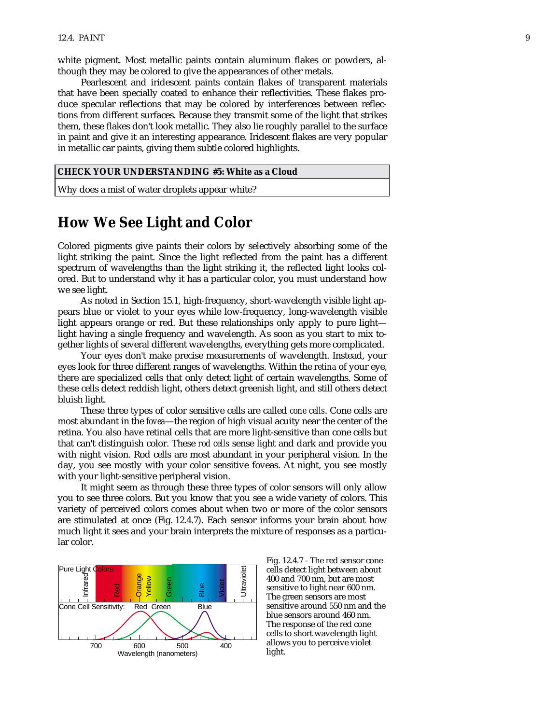white pigment. Most metallic paints contain aluminum flakes or powders, although they may be colored to give the appearances of other metals.

Pearlescent and iridescent paints contain flakes of transparent materials that have been specially coated to enhance their reflectivities. These flakes produce specular reflections that may be colored by interferences between reflections from different surfaces. Because they transmit some of the light that strikes them, these flakes don't look metallic. They also lie roughly parallel to the surface in paint and give it an interesting appearance. Iridescent flakes are very popular in metallic car paints, giving them subtle colored highlights.

### **CHECK YOUR UNDERSTANDING #5: White as a Cloud**

Why does a mist of water droplets appear white?

# **How We See Light and Color**

Colored pigments give paints their colors by selectively absorbing some of the light striking the paint. Since the light reflected from the paint has a different spectrum of wavelengths than the light striking it, the reflected light looks colored. But to understand why it has a particular color, you must understand how we see light.

As noted in Section 15.1, high-frequency, short-wavelength visible light appears blue or violet to your eyes while low-frequency, long-wavelength visible light appears orange or red. But these relationships only apply to pure light light having a single frequency and wavelength. As soon as you start to mix together lights of several different wavelengths, everything gets more complicated.

Your eyes don't make precise measurements of wavelength. Instead, your eyes look for three different ranges of wavelengths. Within the *retina* of your eye, there are specialized cells that only detect light of certain wavelengths. Some of these cells detect reddish light, others detect greenish light, and still others detect bluish light.

These three types of color sensitive cells are called *cone cells*. Cone cells are most abundant in the *fovea*—the region of high visual acuity near the center of the retina. You also have retinal cells that are more light-sensitive than cone cells but that can't distinguish color. These *rod cells* sense light and dark and provide you with night vision. Rod cells are most abundant in your peripheral vision. In the day, you see mostly with your color sensitive foveas. At night, you see mostly with your light-sensitive peripheral vision.

It might seem as through these three types of color sensors will only allow you to see three colors. But you know that you see a wide variety of colors. This variety of perceived colors comes about when two or more of the color sensors are stimulated at once (Fig. 12.4.7). Each sensor informs your brain about how much light it sees and your brain interprets the mixture of responses as a particular color.



Fig. 12.4.7 - The red sensor cone cells detect light between about 400 and 700 nm, but are most sensitive to light near 600 nm. The green sensors are most sensitive around 550 nm and the blue sensors around 460 nm. The response of the red cone cells to short wavelength light allows you to perceive violet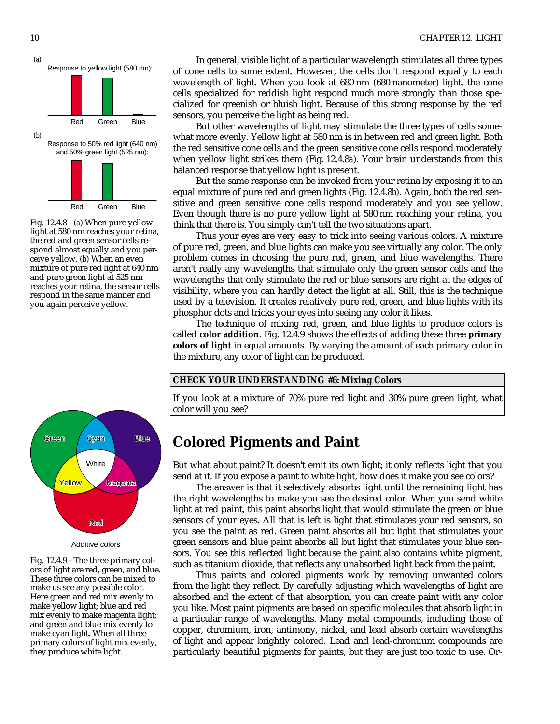

Fig. 12.4.8 - (*a*) When pure yellow light at 580 nm reaches your retina, the red and green sensor cells respond almost equally and you perceive yellow. (*b*) When an even mixture of pure red light at 640 nm and pure green light at 525 nm reaches your retina, the sensor cells respond in the same manner and you again perceive yellow.

In general, visible light of a particular wavelength stimulates all three types of cone cells to some extent. However, the cells don't respond equally to each wavelength of light. When you look at 680 nm (680 nanometer) light, the cone cells specialized for reddish light respond much more strongly than those specialized for greenish or bluish light. Because of this strong response by the red sensors, you perceive the light as being red.

But other wavelengths of light may stimulate the three types of cells somewhat more evenly. Yellow light at 580 nm is in between red and green light. Both the red sensitive cone cells and the green sensitive cone cells respond moderately when yellow light strikes them (Fig. 12.4.8*a*). Your brain understands from this balanced response that yellow light is present.

But the same response can be invoked from your retina by exposing it to an equal mixture of pure red and green lights (Fig. 12.4.8*b*). Again, both the red sensitive and green sensitive cone cells respond moderately and you see yellow. Even though there is no pure yellow light at 580 nm reaching your retina, you think that there is. You simply can't tell the two situations apart.

Thus your eyes are very easy to trick into seeing various colors. A mixture of pure red, green, and blue lights can make you see virtually any color. The only problem comes in choosing the pure red, green, and blue wavelengths. There aren't really any wavelengths that stimulate only the green sensor cells and the wavelengths that only stimulate the red or blue sensors are right at the edges of visibility, where you can hardly detect the light at all. Still, this is the technique used by a television. It creates relatively pure red, green, and blue lights with its phosphor dots and tricks your eyes into seeing any color it likes.

The technique of mixing red, green, and blue lights to produce colors is called **color addition**. Fig. 12.4.9 shows the effects of adding these three **primary colors of light** in equal amounts. By varying the amount of each primary color in the mixture, any color of light can be produced.

### **CHECK YOUR UNDERSTANDING #6: Mixing Colors**

If you look at a mixture of 70% pure red light and 30% pure green light, what color will you see?



Additive colors

Fig. 12.4.9 - The three primary colors of light are red, green, and blue. These three colors can be mixed to make us see any possible color. Here green and red mix evenly to make yellow light; blue and red mix evenly to make magenta light; and green and blue mix evenly to make cyan light. When all three primary colors of light mix evenly, they produce white light.

### **Colored Pigments and Paint**

But what about paint? It doesn't emit its own light; it only reflects light that you send at it. If you expose a paint to white light, how does it make you see colors?

The answer is that it selectively absorbs light until the remaining light has the right wavelengths to make you see the desired color. When you send white light at red paint, this paint absorbs light that would stimulate the green or blue sensors of your eyes. All that is left is light that stimulates your red sensors, so you see the paint as red. Green paint absorbs all but light that stimulates your green sensors and blue paint absorbs all but light that stimulates your blue sensors. You see this reflected light because the paint also contains white pigment, such as titanium dioxide, that reflects any unabsorbed light back from the paint.

Thus paints and colored pigments work by removing unwanted colors from the light they reflect. By carefully adjusting which wavelengths of light are absorbed and the extent of that absorption, you can create paint with any color you like. Most paint pigments are based on specific molecules that absorb light in a particular range of wavelengths. Many metal compounds, including those of copper, chromium, iron, antimony, nickel, and lead absorb certain wavelengths of light and appear brightly colored. Lead and lead-chromium compounds are particularly beautiful pigments for paints, but they are just too toxic to use. Or-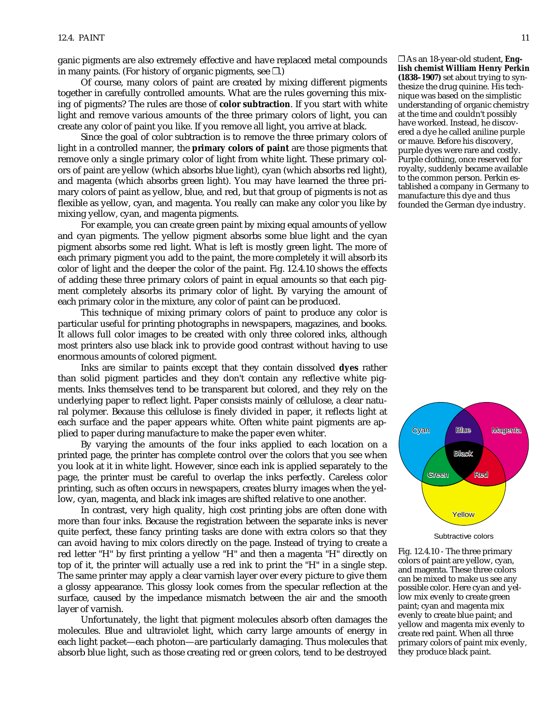ganic pigments are also extremely effective and have replaced metal compounds in many paints. (For history of organic pigments, see  $\Box$ .)

Of course, many colors of paint are created by mixing different pigments together in carefully controlled amounts. What are the rules governing this mixing of pigments? The rules are those of **color subtraction**. If you start with white light and remove various amounts of the three primary colors of light, you can create any color of paint you like. If you remove all light, you arrive at black.

Since the goal of color subtraction is to remove the three primary colors of light in a controlled manner, the **primary colors of paint** are those pigments that remove only a single primary color of light from white light. These primary colors of paint are yellow (which absorbs blue light), cyan (which absorbs red light), and magenta (which absorbs green light). You may have learned the three primary colors of paint as yellow, blue, and red, but that group of pigments is not as flexible as yellow, cyan, and magenta. You really can make any color you like by mixing yellow, cyan, and magenta pigments.

For example, you can create green paint by mixing equal amounts of yellow and cyan pigments. The yellow pigment absorbs some blue light and the cyan pigment absorbs some red light. What is left is mostly green light. The more of each primary pigment you add to the paint, the more completely it will absorb its color of light and the deeper the color of the paint. Fig. 12.4.10 shows the effects of adding these three primary colors of paint in equal amounts so that each pigment completely absorbs its primary color of light. By varying the amount of each primary color in the mixture, any color of paint can be produced.

This technique of mixing primary colors of paint to produce any color is particular useful for printing photographs in newspapers, magazines, and books. It allows full color images to be created with only three colored inks, although most printers also use black ink to provide good contrast without having to use enormous amounts of colored pigment.

Inks are similar to paints except that they contain dissolved **dyes** rather than solid pigment particles and they don't contain any reflective white pigments. Inks themselves tend to be transparent but colored, and they rely on the underlying paper to reflect light. Paper consists mainly of cellulose, a clear natural polymer. Because this cellulose is finely divided in paper, it reflects light at each surface and the paper appears white. Often white paint pigments are applied to paper during manufacture to make the paper even whiter.

By varying the amounts of the four inks applied to each location on a printed page, the printer has complete control over the colors that you see when you look at it in white light. However, since each ink is applied separately to the page, the printer must be careful to overlap the inks perfectly. Careless color printing, such as often occurs in newspapers, creates blurry images when the yellow, cyan, magenta, and black ink images are shifted relative to one another.

In contrast, very high quality, high cost printing jobs are often done with more than four inks. Because the registration between the separate inks is never quite perfect, these fancy printing tasks are done with extra colors so that they can avoid having to mix colors directly on the page. Instead of trying to create a red letter "H" by first printing a yellow "H" and then a magenta "H" directly on top of it, the printer will actually use a red ink to print the "H" in a single step. The same printer may apply a clear varnish layer over every picture to give them a glossy appearance. This glossy look comes from the specular reflection at the surface, caused by the impedance mismatch between the air and the smooth layer of varnish.

Unfortunately, the light that pigment molecules absorb often damages the molecules. Blue and ultraviolet light, which carry large amounts of energy in each light packet—each photon—are particularly damaging. Thus molecules that absorb blue light, such as those creating red or green colors, tend to be destroyed ❐ As an 18-year-old student, **English chemist William Henry Perkin (1838–1907)** set about trying to synthesize the drug quinine. His technique was based on the simplistic understanding of organic chemistry at the time and couldn't possibly have worked. Instead, he discovered a dye he called aniline purple or mauve. Before his discovery, purple dyes were rare and costly. Purple clothing, once reserved for royalty, suddenly became available to the common person. Perkin established a company in Germany to manufacture this dye and thus founded the German dye industry.



Subtractive colors

Fig. 12.4.10 - The three primary colors of paint are yellow, cyan, and magenta. These three colors can be mixed to make us see any possible color. Here cyan and yellow mix evenly to create green paint; cyan and magenta mix evenly to create blue paint; and yellow and magenta mix evenly to create red paint. When all three primary colors of paint mix evenly, they produce black paint.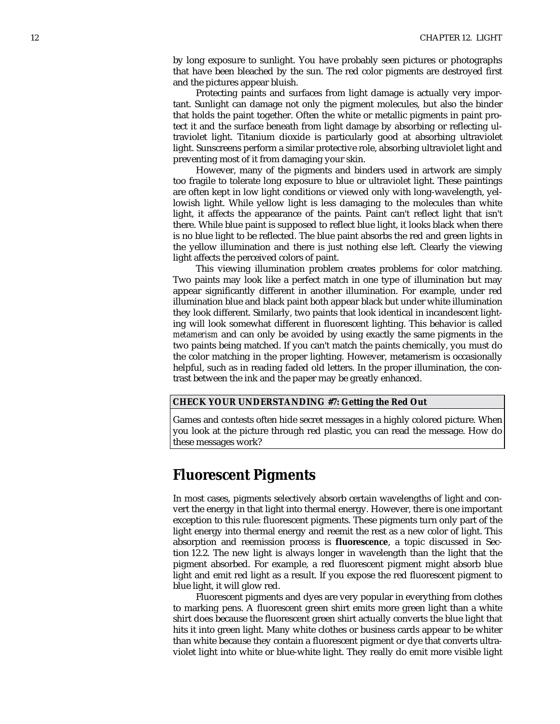by long exposure to sunlight. You have probably seen pictures or photographs that have been bleached by the sun. The red color pigments are destroyed first and the pictures appear bluish.

Protecting paints and surfaces from light damage is actually very important. Sunlight can damage not only the pigment molecules, but also the binder that holds the paint together. Often the white or metallic pigments in paint protect it and the surface beneath from light damage by absorbing or reflecting ultraviolet light. Titanium dioxide is particularly good at absorbing ultraviolet light. Sunscreens perform a similar protective role, absorbing ultraviolet light and preventing most of it from damaging your skin.

However, many of the pigments and binders used in artwork are simply too fragile to tolerate long exposure to blue or ultraviolet light. These paintings are often kept in low light conditions or viewed only with long-wavelength, yellowish light. While yellow light is less damaging to the molecules than white light, it affects the appearance of the paints. Paint can't reflect light that isn't there. While blue paint is supposed to reflect blue light, it looks black when there is no blue light to be reflected. The blue paint absorbs the red and green lights in the yellow illumination and there is just nothing else left. Clearly the viewing light affects the perceived colors of paint.

This viewing illumination problem creates problems for color matching. Two paints may look like a perfect match in one type of illumination but may appear significantly different in another illumination. For example, under red illumination blue and black paint both appear black but under white illumination they look different. Similarly, two paints that look identical in incandescent lighting will look somewhat different in fluorescent lighting. This behavior is called *metamerism* and can only be avoided by using exactly the same pigments in the two paints being matched. If you can't match the paints chemically, you must do the color matching in the proper lighting. However, metamerism is occasionally helpful, such as in reading faded old letters. In the proper illumination, the contrast between the ink and the paper may be greatly enhanced.

### **CHECK YOUR UNDERSTANDING #7: Getting the Red Out**

Games and contests often hide secret messages in a highly colored picture. When you look at the picture through red plastic, you can read the message. How do these messages work?

### **Fluorescent Pigments**

In most cases, pigments selectively absorb certain wavelengths of light and convert the energy in that light into thermal energy. However, there is one important exception to this rule: fluorescent pigments. These pigments turn only part of the light energy into thermal energy and reemit the rest as a new color of light. This absorption and reemission process is **fluorescence**, a topic discussed in Section 12.2. The new light is always longer in wavelength than the light that the pigment absorbed. For example, a red fluorescent pigment might absorb blue light and emit red light as a result. If you expose the red fluorescent pigment to blue light, it will glow red.

Fluorescent pigments and dyes are very popular in everything from clothes to marking pens. A fluorescent green shirt emits more green light than a white shirt does because the fluorescent green shirt actually converts the blue light that hits it into green light. Many white clothes or business cards appear to be whiter than white because they contain a fluorescent pigment or dye that converts ultraviolet light into white or blue-white light. They really do emit more visible light